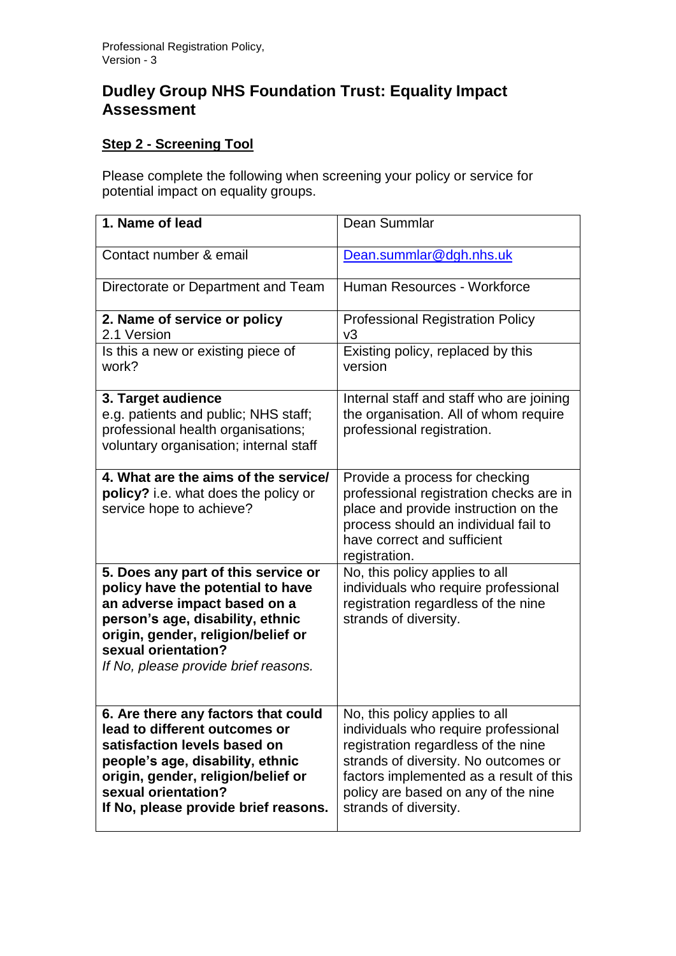## **Dudley Group NHS Foundation Trust: Equality Impact Assessment**

## **Step 2 - Screening Tool**

Please complete the following when screening your policy or service for potential impact on equality groups.

| 1. Name of lead                                                                                                                                                                                                                                   | Dean Summlar                                                                                                                                                                                                                                                     |
|---------------------------------------------------------------------------------------------------------------------------------------------------------------------------------------------------------------------------------------------------|------------------------------------------------------------------------------------------------------------------------------------------------------------------------------------------------------------------------------------------------------------------|
| Contact number & email                                                                                                                                                                                                                            | Dean.summlar@dgh.nhs.uk                                                                                                                                                                                                                                          |
| Directorate or Department and Team                                                                                                                                                                                                                | Human Resources - Workforce                                                                                                                                                                                                                                      |
| 2. Name of service or policy<br>2.1 Version                                                                                                                                                                                                       | <b>Professional Registration Policy</b><br>v3                                                                                                                                                                                                                    |
| Is this a new or existing piece of<br>work?                                                                                                                                                                                                       | Existing policy, replaced by this<br>version                                                                                                                                                                                                                     |
| 3. Target audience<br>e.g. patients and public; NHS staff;<br>professional health organisations;<br>voluntary organisation; internal staff                                                                                                        | Internal staff and staff who are joining<br>the organisation. All of whom require<br>professional registration.                                                                                                                                                  |
| 4. What are the aims of the service/<br>policy? i.e. what does the policy or<br>service hope to achieve?                                                                                                                                          | Provide a process for checking<br>professional registration checks are in<br>place and provide instruction on the<br>process should an individual fail to<br>have correct and sufficient<br>registration.                                                        |
| 5. Does any part of this service or<br>policy have the potential to have<br>an adverse impact based on a<br>person's age, disability, ethnic<br>origin, gender, religion/belief or<br>sexual orientation?<br>If No, please provide brief reasons. | No, this policy applies to all<br>individuals who require professional<br>registration regardless of the nine<br>strands of diversity.                                                                                                                           |
| 6. Are there any factors that could<br>lead to different outcomes or<br>satisfaction levels based on<br>people's age, disability, ethnic<br>origin, gender, religion/belief or<br>sexual orientation?<br>If No, please provide brief reasons.     | No, this policy applies to all<br>individuals who require professional<br>registration regardless of the nine<br>strands of diversity. No outcomes or<br>factors implemented as a result of this<br>policy are based on any of the nine<br>strands of diversity. |